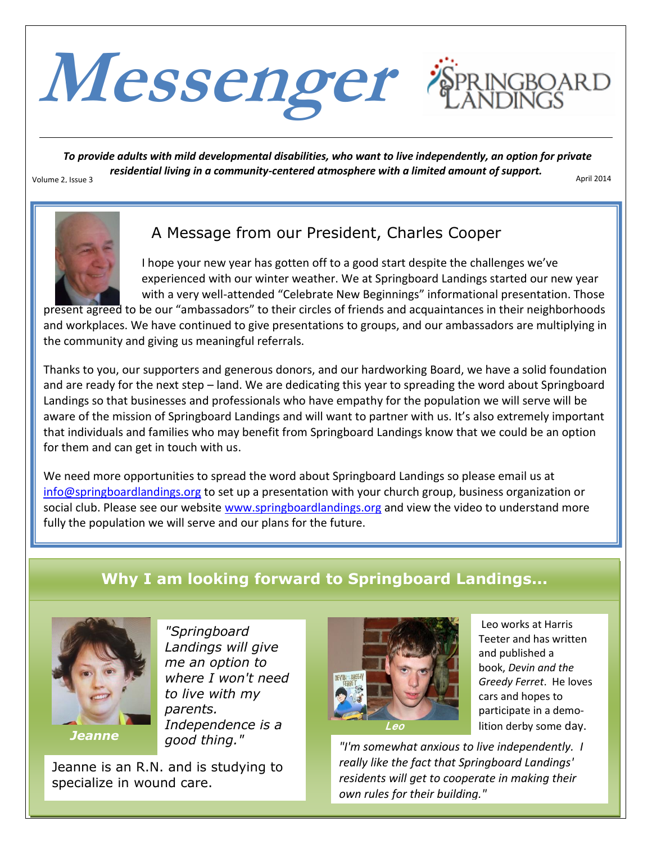

*To provide adults with mild developmental disabilities, who want to live independently, an option for private residential living in a community-centered atmosphere with a limited amount of support.* Volume 2, Issue 3 April 2014



# A Message from our President, Charles Cooper

 I hope your new year has gotten off to a good start despite the challenges we've experienced with our winter weather. We at Springboard Landings started our new year with a very well-attended "Celebrate New Beginnings" informational presentation. Those

present agreed to be our "ambassadors" to their circles of friends and acquaintances in their neighborhoods and workplaces. We have continued to give presentations to groups, and our ambassadors are multiplying in the community and giving us meaningful referrals.

Thanks to you, our supporters and generous donors, and our hardworking Board, we have a solid foundation and are ready for the next step – land. We are dedicating this year to spreading the word about Springboard Landings so that businesses and professionals who have empathy for the population we will serve will be aware of the mission of Springboard Landings and will want to partner with us. It's also extremely important that individuals and families who may benefit from Springboard Landings know that we could be an option for them and can get in touch with us.

We need more opportunities to spread the word about Springboard Landings so please email us at [info@springboardlandings.org](mailto:info@springboardlandings.org) to set up a presentation with your church group, business organization or social club. Please see our website [www.springboardlandings.org](http://www.springboardlandings.org/) and view the video to understand more fully the population we will serve and our plans for the future.

# **Why I am looking forward to Springboard Landings...**



*Jeanne*

*"Springboard Landings will give me an option to where I won't need to live with my parents. Independence is a good thing."*

Jeanne is an R.N. and is studying to specialize in wound care.



Leo works at Harris Teeter and has written and published a book, *Devin and the Greedy Ferret*. He loves cars and hopes to participate in a demolition derby some day.

*"I'm somewhat anxious to live independently. I really like the fact that Springboard Landings' residents will get to cooperate in making their own rules for their building."*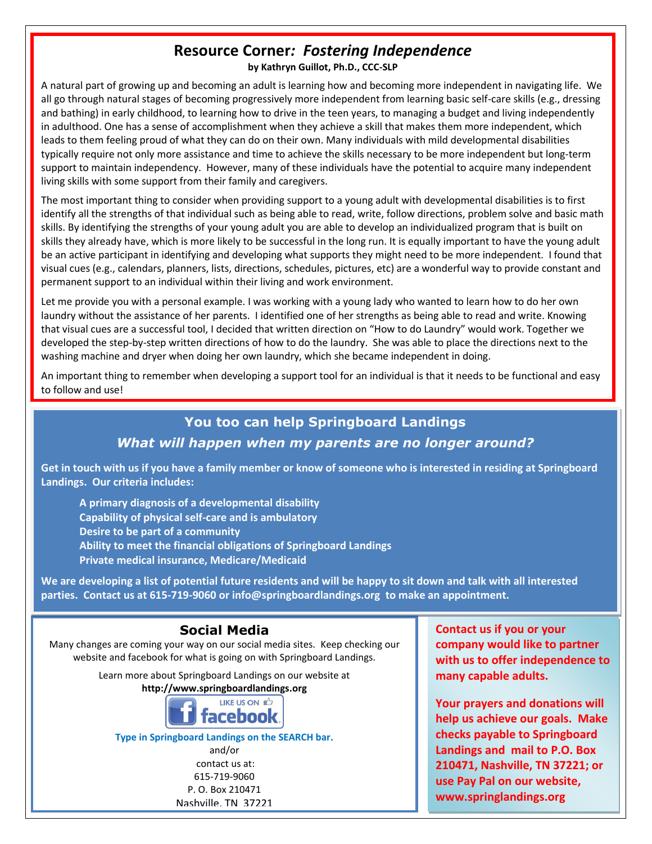# **Resource Corner***: Fostering Independence*

**by Kathryn Guillot, Ph.D., CCC-SLP**

A natural part of growing up and becoming an adult is learning how and becoming more independent in navigating life. We all go through natural stages of becoming progressively more independent from learning basic self-care skills (e.g., dressing and bathing) in early childhood, to learning how to drive in the teen years, to managing a budget and living independently in adulthood. One has a sense of accomplishment when they achieve a skill that makes them more independent, which leads to them feeling proud of what they can do on their own. Many individuals with mild developmental disabilities typically require not only more assistance and time to achieve the skills necessary to be more independent but long-term support to maintain independency. However, many of these individuals have the potential to acquire many independent living skills with some support from their family and caregivers.

The most important thing to consider when providing support to a young adult with developmental disabilities is to first identify all the strengths of that individual such as being able to read, write, follow directions, problem solve and basic math skills. By identifying the strengths of your young adult you are able to develop an individualized program that is built on skills they already have, which is more likely to be successful in the long run. It is equally important to have the young adult be an active participant in identifying and developing what supports they might need to be more independent. I found that visual cues (e.g., calendars, planners, lists, directions, schedules, pictures, etc) are a wonderful way to provide constant and permanent support to an individual within their living and work environment.

Let me provide you with a personal example. I was working with a young lady who wanted to learn how to do her own laundry without the assistance of her parents. I identified one of her strengths as being able to read and write. Knowing that visual cues are a successful tool, I decided that written direction on "How to do Laundry" would work. Together we developed the step-by-step written directions of how to do the laundry. She was able to place the directions next to the washing machine and dryer when doing her own laundry, which she became independent in doing.

An important thing to remember when developing a support tool for an individual is that it needs to be functional and easy to follow and use!

## **You too can help Springboard Landings**

#### *What will happen when my parents are no longer around?*

**Get in touch with us if you have a family member or know of someone who is interested in residing at Springboard Landings. Our criteria includes:** 

**A primary diagnosis of a developmental disability Capability of physical self-care and is ambulatory Desire to be part of a community Ability to meet the financial obligations of Springboard Landings Private medical insurance, Medicare/Medicaid** 

**We are developing a list of potential future residents and will be happy to sit down and talk with all interested parties. Contact us at 615-719-9060 or info@springboardlandings.org to make an appointment.**

## **Social Media**

Many changes are coming your way on our social media sites. Keep checking our website and facebook for what is going on with Springboard Landings.

Learn more about Springboard Landings on our website at

**http://www.springboardlandings.org**



**Type in Springboard Landings on the SEARCH bar.** and/or

contact us at: 615-719-9060 P. O. Box 210471 Nashville, TN 37221

**Contact us if you or your company would like to partner with us to offer independence to many capable adults.**

**Your prayers and donations will help us achieve our goals. Make checks payable to Springboard Landings and mail to P.O. Box 210471, Nashville, TN 37221; or use Pay Pal on our website, www.springlandings.org**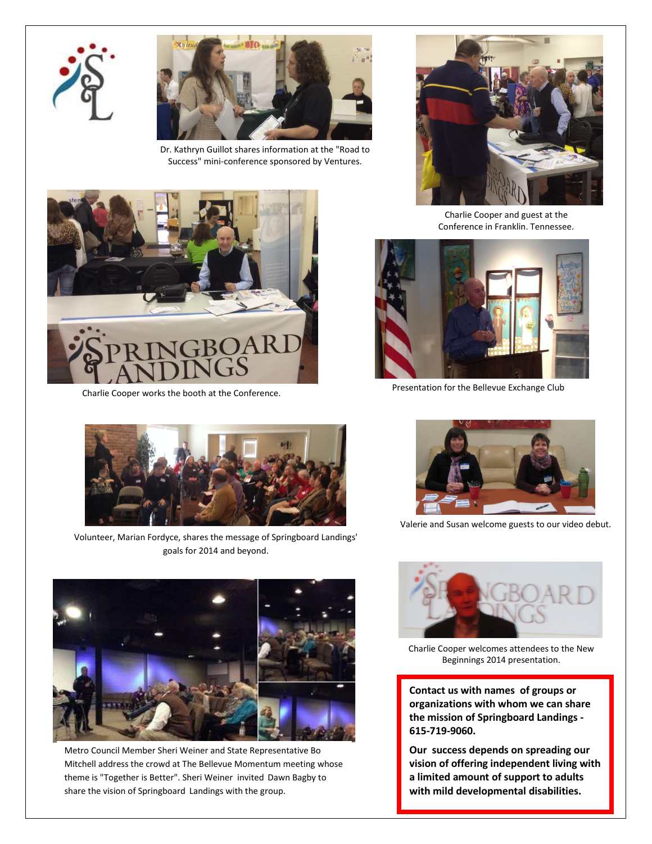



Dr. Kathryn Guillot shares information at the "Road to Success" mini-conference sponsored by Ventures.





Charlie Cooper works the booth at the Conference.

Charlie Cooper and guest at the Conference in Franklin, Tennessee.



Presentation for the Bellevue Exchange Club



Volunteer, Marian Fordyce, shares the message of Springboard Landings' goals for 2014 and beyond.



Metro Council Member Sheri Weiner and State Representative Bo Mitchell address the crowd at The Bellevue Momentum meeting whose theme is "Together is Better". Sheri Weiner invited Dawn Bagby to share the vision of Springboard Landings with the group.



Valerie and Susan welcome guests to our video debut.



Charlie Cooper welcomes attendees to the New Beginnings 2014 presentation.

**Contact us with names of groups or organizations with whom we can share the mission of Springboard Landings - 615-719-9060.**

**Our success depends on spreading our vision of offering independent living with a limited amount of support to adults with mild developmental disabilities.**